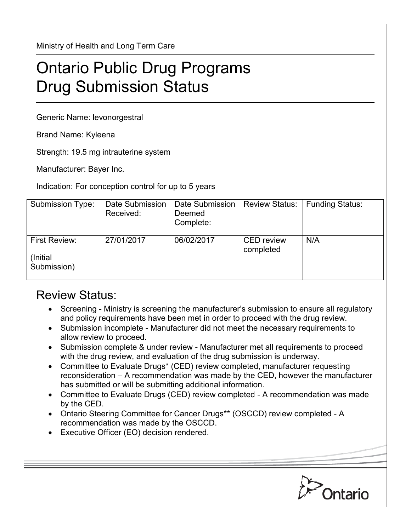Ministry of Health and Long Term Care

## Ontario Public Drug Programs Drug Submission Status

Generic Name: levonorgestral

Brand Name: Kyleena

Strength: 19.5 mg intrauterine system

Manufacturer: Bayer Inc.

Indication: For conception control for up to 5 years

| Submission Type:                                 | Date Submission<br>Received: | Date Submission<br>Deemed<br>Complete: | <b>Review Status:</b>          | <b>Funding Status:</b> |
|--------------------------------------------------|------------------------------|----------------------------------------|--------------------------------|------------------------|
| <b>First Review:</b><br>(Initial)<br>Submission) | 27/01/2017                   | 06/02/2017                             | <b>CED</b> review<br>completed | N/A                    |

## Review Status:

- Screening Ministry is screening the manufacturer's submission to ensure all regulatory and policy requirements have been met in order to proceed with the drug review.
- Submission incomplete Manufacturer did not meet the necessary requirements to allow review to proceed.
- Submission complete & under review Manufacturer met all requirements to proceed with the drug review, and evaluation of the drug submission is underway.
- Committee to Evaluate Drugs\* (CED) review completed, manufacturer requesting reconsideration – A recommendation was made by the CED, however the manufacturer has submitted or will be submitting additional information.
- Committee to Evaluate Drugs (CED) review completed A recommendation was made by the CED.
- Ontario Steering Committee for Cancer Drugs\*\* (OSCCD) review completed A recommendation was made by the OSCCD.
- Executive Officer (EO) decision rendered.